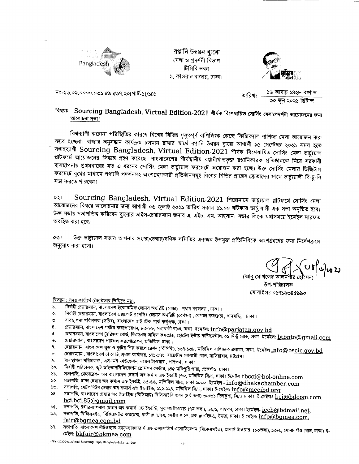

রপ্তানি উন্নয়ন ব্যুরো মেলা ও প্রদর্শনী বিভাগ টিসিবি ভবন ১, কাওরান বাজার, ঢাকা।



নং-২৬.০২.০০০০.০৩১.৫৯.৫১৭.২০(পার্ট-১)/১৪১

১৬ আষাঢ় ১৪২৮ বঙ্গাব্দ তাবিখঃ ৩০ জুন ২০২১ খ্রিষ্টাব্দ

## বিষয়ঃ Sourcing Bangladesh, Virtual Edition-2021 শীর্ষক বিশেষায়িত সোর্সিং মেলা/প্রদর্শনী আয়োজনের জন্য আলোচনা সভা।

বিশ্বব্যাপী করোনা পরিস্থিতির কারণে বিশ্বের বিভিন্ন গুরুত্বপূর্ণ বাণিজ্যিক কেন্দ্রে ফিজিক্যাল বাণিজ্য মেলা আয়োজন করা সম্ভব হচ্ছেনা। বাজার অনুসন্ধান কার্যক্রম চলমান রাখার স্বার্থে রপ্তানি উন্নয়ন ব্যুরো আগামী ১৫ সেপ্টেম্বর ২০২১ সময় হতে সম্ভাহব্যাপী Sourcing Bangladesh, Virtual Edition-2021 শীৰ্ষক বিশেষায়িত সোৰ্সিং মেলা ভাৰ্চ্যয়াল প্লাটফর্মে আয়োজনের সিদ্ধান্ত গ্রহণ করেছে। বাংলাদেশের শীর্ষস্থানীয় রপ্তানীখাতভূক্ত রপ্তানিকারক প্রতিষ্ঠানকে নিয়ে সরকারী ব্যবস্থাপনায় প্রথমবারের মত এ ধরনের সোর্সিং মেলা ভার্চ্যয়াল ফরমেটে অয়োজন করা হচ্ছে। উক্ত সোর্সিং মেলায় ডিজিটাল ফরমেটে বুথের মাধ্যমে পণ্যাদি প্রদর্শনসহ অংশগ্রহণকারী প্রতিষ্ঠানসমূহ বিশ্বের বিভিন্ন প্রান্তের ক্রেতাদের সাথে ভার্চ্যয়ালী বি-টু-বি সভা করতে পারবেন।

Sourcing Bangladesh, Virtual Edition-2021 শিরোনামে ভার্চুয়াল প্লাটফর্মে সোর্সিং মেলা ০২। আয়োজনের বিষয়ে আলোচনার জন্য আগামী ০৬ জুলাই ২০২১ তারিখ সকাল ১১.০০ ঘটিকায় ভার্চ্যয়ালী এক সভা অনুষ্ঠিত হবে। উক্ত সভায় সভাপতিত করিবেন ব্যুরোর ভাইস-চেয়ারম্যান জনাব এ. এইচ. এম. আহসান। সভার লিংক যথাসময়ে ইমেইল মারফত অবহিত করা হবে।

উক্ত ভার্চ্যয়াল সভায় আপনার সংস্থা/চেম্বার/বণিক সমিতির একজন উপযুক্ত প্রতিনিধিকে অংশগ্রহণের জন্য নির্দেশক্রমে  $001$ অনুরোধ করা হলো।

(আবু মোখলেছ আলমগ উপ-পরিচালক মোবাইলঃ ০১৭১২৩৪৫৯৯০

<u> বিতরন : সদয় কার্যার্থে (জ্যৈষ্ঠতার ভিত্তিতে নয়):</u>

- নির্বাহী চেয়ারম্যান, বাংলাদেশ ইকোনমিক জোনস অর্থরিটি (বেজা) , প্রধান কাযালয় , ঢাকা।  $S_{\rm c}$
- নির্বাহী চেয়ারম্যান, বাংলাদেশ এক্সপোর্ট প্রসেসিং জোনস অথরিটি (বেপজা) , বেপজা কমপ্লেক্স , ধানমন্ডি, াঢকা।  $\ddot{\mathbf{x}}$
- ব্যবস্থাপনা পরিচালক (সচিব), বাংলাদেশ হাই-টেক পার্ক কর্তৃপক্ষ, ঢাকা। O.
- চেয়ারম্যান, বাংলাদেশ পর্যটন করপোরেশন, ৮৩-৮৮, মহাখালী বা/এ, ঢাকা। ইমেইল:  $\widehat{\mathrm{info} \textcircled{p} \text{arjatan.gov.bd}}$ 8.
- চেয়ারম্যান, বাংলাদেশ ট্যুরিজম বোর্ড, বিএসএল অফিস কমপ্লেক্স, হোটেল ইন্টার কন্টিনেন্টাল, ০১ মিন্টু রোড, ঢাকা। ইমেইল: btbnto@gmail.com ¢.
- চেয়ারম্যান , বাংলাদেশ পাটকল করপোরেশন, মতিঝিল, ঢাকা। ৬.
- চেয়ারম্যান, বাংলাদেশ ক্ষুদ্র ও কুটির শিল্প করপোরেশন (বিসিকি), ১৩৭-১৩৮, মতিঝিল বাণিজ্যক এলাকা, ঢাকা। ইমেইল  $\widehat{\mathrm{info} \textcircled{a} \mathrm{b} \mathrm{scic}. \mathrm{gov}. \mathrm{bd}}$ ٩.
- চেয়ারম্যান , বাংলাদেশ চা বোর্ড, প্রধান কার্যালয়, ১৭১-১৭২, বায়েজীদ বোস্তামী রোড, নাসিরাবাদ, চট্টগ্রাম। ь.
- ব্যবস্থাপনা পরিচালক , এসএমই ফাউন্ডেশন, রয়েল টাওয়ার , পান্থপথ , ঢাকা। ৯.
- নির্বাহী পরিচালক, জুট ডাইভারসিফিকেশন প্রোমশন সেন্টার, ১৪৫ মনিপুরি পারা, তেজগাঁও, ঢাকা।  $\mathcal{S}^{\circ}$
- সভাপতি, ফেডারেশন অব বাংলাদেশ চেম্বার্স অব কর্মাস এন্ড ইন্ডাষ্টি (৬০, মডিঝিল সি/এ, ঢাকা। ইমেইল-f $\bf bcci@bol\text{-}online.com$  $55.$
- সভাপতি, ঢাকা চেম্বার অব কর্মাস এন্ড ইন্ডাষ্টি, ৬৫-৬৬, মতিঝিল বা/এ, ঢাকা-১০০০। ইমেইল  $\inf$ ০@ $\operatorname{dhakachamber.com}$ ১২.
- সভাপতি, মেট্রপলিটন চেম্বার অব কমার্স এন্ড ইন্ডাষ্টিজ, ১২২-১২৪, মতিঝিল সি/এ, ঢাকা। ই-মেইল:  $\widehat{\mathrm{info@mccibd.org}}$  $50<sub>1</sub>$
- সভাপতি, বাংলাদেশ চেম্বার অব ইন্ডাষ্ট্রিজ (বিসিআই) বিসিআইসি ভবন (৪র্থ তলা) ৩০/৩১ দিলকুশা, সি/এ ঢাকা। ই-মেইলঃ <u>bci@bdcom.com,</u>  $58.$ bci.bci.85@gmail.com
- সভাপতি, ইন্টারন্যাশনাল চেম্বার অব কমার্স এন্ড ইন্ডাস্টি, সুবাস্ত্র টাওয়ার (৭ম তলা), ৬৯/১, পাৰ্থপথ, ঢাকা। ইমেইল- <u>iccb@bdmail.net</u>,  $3a.$
- সভাপতি, বিজিএমইএ, বিজিএমইএ কমপ্লেক্স, বাড়ী # ৭/৭এ, সেক্টর # ১৭, ব্লক # এইচ-১, উত্তরা, ঢাকা। ই-মেইল:  $\overline{\mathrm{info@bgmea.com}}$ ,  $36.$ fair@bqmea.com.bd
- $S<sub>1</sub>$ মেইল: bkfair@bkmea.com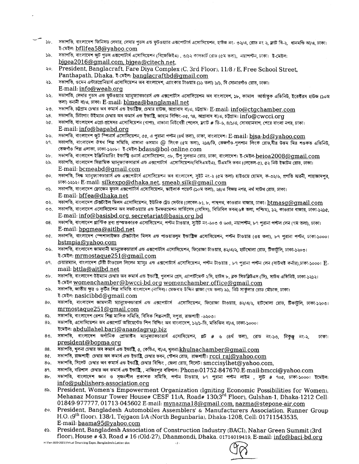- ১৮. সভাপতি, বাংলাদেশ ফিনিসড লেদার, লেদার গুডস এন্ড ফুটওয়্যার এক্সপোটার্স এসোসিয়েশন, হাউজ নং- ৩২/এ, রোড নং ২, ফ্লাট বি-২, ধানমন্ডি আ/এ, ঢাকা। ই-মেইল: bfllfea58@yahoo.com
- ১৯. সভাপতি, বাংলাদেশ জুট গুডস এক্সপোর্টার্স এসোসিয়েশন (বিজেজিইএ) , ৩/১২ কালভার্ট রোড (৫ম তলা), নয়াপল্টন, ঢাকা। ই-মেইল: bigea2016@gmail.com, bigea@citech.net,
- $\lambda$ <sup>o</sup>. President, Banglacraft, Fare Diya Complex (C, 3rd Floor), 11/8 / E, Free School Street, Panthapath, Dhaka. ই-মেইল: banglacraftbd@gmail.com
- ২১. সভাপতি, ওমেন এন্টারপ্রেনিয়ার্স এসোসিয়েশন অব বাংলাদেশ, এ্যাংকার টাওয়ার (১১ তলা) ১/১, বি সোনারগাঁও রোড, ঢাকা। E-mail: info@weab.ora
- ২২. সভাপতি, লেদার গুডস এন্ড ফুটওয়্যার ম্যানুফ্যাকচারর্স এন্ড এক্সপোর্টস এসোসিয়েশন অব বাংলাদেশ, ১৮, কামাল আর্তাতুক এভিনিউ, ইরেক্টরস হাউজ (১০ম তলা) বনানী বা/এ, ঢাকা। E-mail: blmea@banglamall.net
- ২৩. সভাপতি, চট্টগ্রাম চেম্বার অব কমার্স এন্ড ইন্ডাষ্ট্রিজ, চেম্বার হাউজ, আগ্রাবাদ বা/এ, চট্টগ্রাম। E-mail: info@ctgchamber.com
- ২৪. সভাপতি, চিটাগাং উইম্যান চেম্বার অব কমার্স এন্ড ইন্ডাষ্ট্রি, জাহান বিল্ডিং-০৫, ৭৪, আগ্রাবাদ বা/এ, চট্টগ্রাম।  $\mathop{\rm inf}\nolimits_0$ @cwcc $\mathop{\rm i\bf off}\nolimits_0$
- ২৫. সভাপতি, বাংলাদেশ এগ্রো-প্রসেসর এসোসিয়েশন (বাপা), নাভানা নিউবেরী পেলেস, ফ্ল্যাট # ডি-৬, ৪/১/এ, সোবহানবাগ, শেরে বাংলা নগর, ঢাকা। E-mail: info@bapabd.org
- ২৬. সভাপতি, বাংলাদেশ জুট স্পিনার্স এসোসিয়েশন, ৫৫, এ পুরানা পল্টন (৪র্থ তলা), ঢাকা, বাংলাদেশ। E-mail: bjsa-bd@yahoo.com
- ২৭. সভাপতি, বাংলাদেশ ঔষধ শিল্প সমিতি, নাভানা ওসমান @ লিংক (৫ম তলা), ২১৪/ডি. তেজগাঁও-গলশান লিংক রোডবীর উত্তম মির শওকত এভিনিউ তেজগাঁও শিল্প এলাকা, ঢাকা-১২০৮। ই-মেইল- $bdas$ া $b$ ol-online.com
- ২৮. সভাপতি, বাংলাদেশ ইঞ্জিনিয়ারিং ইন্ডস্ক্রি ওনার্স এসোসিয়েশন, ৩৮, টিপু সুলতান রোড, ঢাকা, বাংলাদেশ। ই-মেইল- $\frac{beioa2008@gmail.com}{e}$
- ২৯. সভাপতি, বাংলাদেশ সিরামিক ম্যানুষ্যাকসারার্স এন্ড এক্সপোর্টার্স এসেসিয়েশন(বিসিএমইএ), টিএমসি ভবন (লেভেল-৫), ৫২ নিউ ইস্কাটন রোড, ঢাকা। E-mail: bcmeabd@gmail.com
- ৩০. সভাপতি, সিষ্ক ম্যানুফ্যাকচারার্স এন্ড এক্সপোটার্স একোসিয়েশন অব বাংলাদেশ, সুইট নং-২ (৫ম তলা) হাইওয়ে হোমস, ক-৩২/৬, প্রগতি স্মরনী, শাহাজাদপর, BTFT-sQse I E-mail: silkexDo@dhaka.net, smeab.silk@crmail.com
- ৩১. সভাপতি, বাংলাদেশ ফ্রোজেন ফডস এক্সপোর্টার্স এসোসিয়েশন, স্কাইলার্ক পয়েন্ট (১০ম তলা), ২৪/এ বিজয় নগর, নর্থ সাউথ রোড, ঢাকা। E-mail: bffea@dhaka.net
- ৩২. সভাপতি, বাংলাদেশ টেক্সটাইল মিলস এসোসিয়েশন, ইউনিক ট্রেড সেন্টার (লেবেল-৮), ৮, পান্থপথ, কাওরান বাজার, ঢাকা।  $\underline{btmasq}@gmail.com$
- ৩৩. সভাপতি, বাংলাদেশ এসোসিয়েশন অব সফটওয়্যার এন্ড ইনফরমেশন সার্ভিসেস (বেসিস), বিডিবিল ভবন(৬ষ্ঠ তলা, পশ্চিম), ১২, কাওরান বাজার, ঢাকা-১২১৫, E-mail: info@basisbd.org. secretariat@basis.org.bd
- ৩৪. সভাপতি, বাংলাদেশ প্লাস্টিক দ্রব্য প্রস্ততকারক এসোসিয়েশন, পল্টন টাওয়ার, সাুইট নং-৬০৩ ও ৬০৪, নয়াপল্টন, ৮৭ পুরানা পল্টল লেন (৭ম তলা), ঢাকা। E-mail: bDamea®aitlbd.net
- ৩৫. সভাপতি, বাংলাদেশ স্পেশালাইজড টেক্সটাইল মিলস এন্ড পাওয়ারলুম ইন্ডাষ্ট্রিজ এসোসিয়েশন, পল্টন টাওয়ার (৩য় তলা), ৮৭ পুরানা পল্টন, ঢাকা-১০০০। bstmpia@yahoo.com
- ৩৬. সভাপতি, বাংলাদেশ জামদানী ম্যানুফেকচারার্স এন্ড এক্সপোর্টাস এসোসিয়েশন, ফিরোজা টাওয়ার, ৪২/এ/২, হাটখোলা রোড, টিকাটলি, ঢাকা-১২০৩। ই-মেইল: mrmostaque251@gmail.com
- ৩৭. তেয়ারম্যান, বাংলাদেশ টেরী টাওয়েল লিলেন ম্যানঃ এন্ড এক্সপোটার্স এসোসিয়েশন, পল্টন টাওয়ার , ৮৭ পরানা পল্টন লেন (সাউথষ্ট কর্নার),ঢাকা-১০০০। Email: bttla@aitlbd.net
- ৩৮. সভাপতি, বাংলাদেশ উইম্যান চেম্বার অব কমার্স এন্ড ইন্ডাষ্টি, গুলশান গ্রেস, এ্যাপার্টমেন্ট ২সি, রক সিডব্লিউএস (সি), সাউথ এভিনিউ, ঢাকা-১২১২। ই-মেইল womenchamber@bwcci-bd.org womenchamber.office@gmail.com
- ৩৯. সভাপতি, জাতীয় ক্ষুদ্র ও কুটির শিল্প সমিতি বাংলাদেশ (নাসিব)। মেজবাহ উদ্দিন প্লাজা (৭ম তলা) ৯১, নিউ সার্কুলার রোড মৌচাক, ঢাকা। ই-মেইল: nasicibbd@gmail.com
- 8০. সভাপতি, বাংলাদেশ জামনানী ম্যানুফেকচারার্স এন্ড এক্সপোটার্স এসোসিয়েশন, ফিরোজা টাওয়ার, ৪২/এ/২, হাটখোলা রোড, টিকাটুলি, ঢাকা-১২০৩। mrmostaque251@gmail.com
- 8১. সভাপতি, বাংলাদেশ রেশম শিল্প মালিক সমিতি, বিসিক শিল্পনগরী, সপরা, রাজশাহী -৬২০৩।
- 8২. সভাপতি, এসোসিয়েশন অব এক্সপোর্ট অরিয়েন্টেড শিপ বিল্ডিং অব বাংলাদেশ, ১২/১-ডি, মতিঝিল বা/এ, ঢাকা-১০০০।
- ইমেইল: <u>abdullahel.bari@anandagrup.biz</u><br>৪৩. সভাপতি, বাংলাদেশ অর্গানিক প্রোডাক্টস ম্যানুফ্যাকচারার্স এসোসিয়েশন, প্লট # ৬ (৪র্থ তলা), রোড নং-১৩, নিকুঞ্জ নং-২, ঢাকা। president@bopma.org
- $88.$  সভাপতি, খুলনা চেম্বার অব কমার্স এন্ড ইন্ডাষ্ট্রি, ৫, কেডিএ, বা/এ, খুলনা। $\bf khulnachamber@qmail.com$
- $8$ ৫. সভাপতি, রাজশাহী চেম্বার অব কমার্স এন্ড ইন্ডাষ্ট্রি, চেম্বার ভবন, স্টেশন রোড, রাজশাহী।  ${\rm rcci\,\, raj@yahoo.com}$
- $8$ ৬. সভাপতি, সিলেট চেম্বার অব কমার্স এন্ড ইন্ডাষ্ট্রি, চেম্বার বিল্ডিং , জেলা রোড, সিলেট।  $\sf smccisylhet@yahoo.com,$
- $8$ ৭. সভাপতি, বরিশাল চেম্বার অব কমার্স এন্ড ইন্ডাষ্ট্রি, , নাজিরপুর বরিশাল।  ${\rm Phone:}01752$ - $847670$ .E- ${\rm mail:}bmcci$ @yahoo.com
- 8৮. সভাপতি, বাংলাদেশ জ্ঞান ও সজনশীল প্ৰকাশক সমিতি, পল্টন টাওয়ার, ৮৭ পুরানা পল্টন লাইন , স্যুট # ৭০৫, ঢাকা-১০০০। ইমেইল: info@publishers-association.org
- 8S. President, Women's Empowerment Organization (Igniting Economic Possibilities for Women),<br>Mehanaz Monsur Tower House# CESF 11/A, Road# 130(3<sup>rd</sup> Floor), Gulshan 1, Dhaka 1212 Cell: 01849-977777, 01713-045602 E-mail: mynazma18@gmail.com, nazma@stepone-air.com
- oo. President, Bangladesh Automobiles Assemblers' & Manufacturers Association, Runner Group H.O. (9<sup>th</sup> floor), 138/1, Tejgaon I/A (North Begunbaria), Dhaka-1208, Cell: 01711543535, E-mail: baama95®vahoo.com
- 65. President, Bangladesh Association of Construction Industry (BACI), Nahar Green Summit (3rd floor), House # 43, Road # 16 (Old-27), Dhanmondi, Dhaka. ol714019419, E-mail: info®baci-bd.orcr --ii